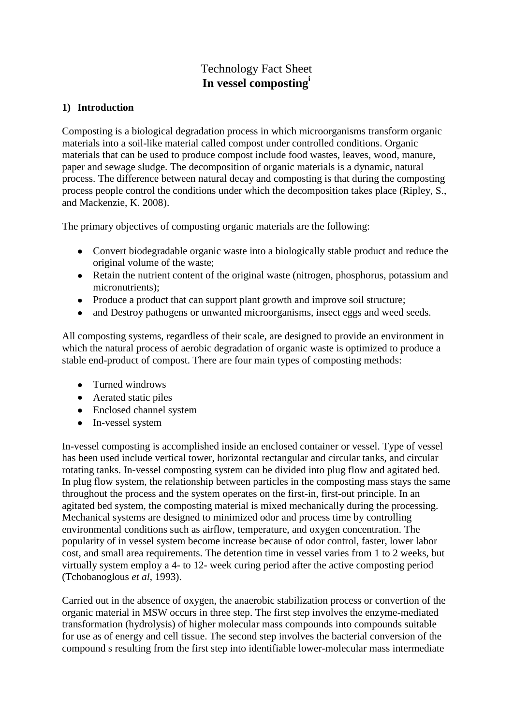# Technology Fact Sheet **In vessel composting<sup>i</sup>**

#### **1) Introduction**

Composting is a biological degradation process in which microorganisms transform organic materials into a soil-like material called compost under controlled conditions. Organic materials that can be used to produce compost include food wastes, leaves, wood, manure, paper and sewage sludge. The decomposition of organic materials is a dynamic, natural process. The difference between natural decay and composting is that during the composting process people control the conditions under which the decomposition takes place (Ripley, S., and Mackenzie, K. 2008).

The primary objectives of composting organic materials are the following:

- Convert biodegradable organic waste into a biologically stable product and reduce the original volume of the waste;
- Retain the nutrient content of the original waste (nitrogen, phosphorus, potassium and micronutrients);
- Produce a product that can support plant growth and improve soil structure;
- and Destroy pathogens or unwanted microorganisms, insect eggs and weed seeds.  $\bullet$

All composting systems, regardless of their scale, are designed to provide an environment in which the natural process of aerobic degradation of organic waste is optimized to produce a stable end-product of compost. There are four main types of composting methods:

- Turned windrows
- Aerated static piles
- Enclosed channel system
- In-vessel system

In-vessel composting is accomplished inside an enclosed container or vessel. Type of vessel has been used include vertical tower, horizontal rectangular and circular tanks, and circular rotating tanks. In-vessel composting system can be divided into plug flow and agitated bed. In plug flow system, the relationship between particles in the composting mass stays the same throughout the process and the system operates on the first-in, first-out principle. In an agitated bed system, the composting material is mixed mechanically during the processing. Mechanical systems are designed to minimized odor and process time by controlling environmental conditions such as airflow, temperature, and oxygen concentration. The popularity of in vessel system become increase because of odor control, faster, lower labor cost, and small area requirements. The detention time in vessel varies from 1 to 2 weeks, but virtually system employ a 4- to 12- week curing period after the active composting period (Tchobanoglous *et al*, 1993).

Carried out in the absence of oxygen, the anaerobic stabilization process or convertion of the organic material in MSW occurs in three step. The first step involves the enzyme-mediated transformation (hydrolysis) of higher molecular mass compounds into compounds suitable for use as of energy and cell tissue. The second step involves the bacterial conversion of the compound s resulting from the first step into identifiable lower-molecular mass intermediate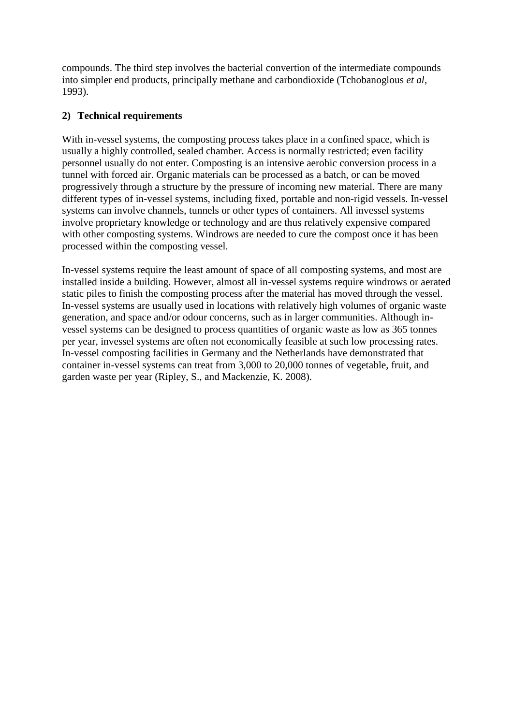compounds. The third step involves the bacterial convertion of the intermediate compounds into simpler end products, principally methane and carbondioxide (Tchobanoglous *et al*, 1993).

# **2) Technical requirements**

With in-vessel systems, the composting process takes place in a confined space, which is usually a highly controlled, sealed chamber. Access is normally restricted; even facility personnel usually do not enter. Composting is an intensive aerobic conversion process in a tunnel with forced air. Organic materials can be processed as a batch, or can be moved progressively through a structure by the pressure of incoming new material. There are many different types of in-vessel systems, including fixed, portable and non-rigid vessels. In-vessel systems can involve channels, tunnels or other types of containers. All invessel systems involve proprietary knowledge or technology and are thus relatively expensive compared with other composting systems. Windrows are needed to cure the compost once it has been processed within the composting vessel.

In-vessel systems require the least amount of space of all composting systems, and most are installed inside a building. However, almost all in-vessel systems require windrows or aerated static piles to finish the composting process after the material has moved through the vessel. In-vessel systems are usually used in locations with relatively high volumes of organic waste generation, and space and/or odour concerns, such as in larger communities. Although invessel systems can be designed to process quantities of organic waste as low as 365 tonnes per year, invessel systems are often not economically feasible at such low processing rates. In-vessel composting facilities in Germany and the Netherlands have demonstrated that container in-vessel systems can treat from 3,000 to 20,000 tonnes of vegetable, fruit, and garden waste per year (Ripley, S., and Mackenzie, K. 2008).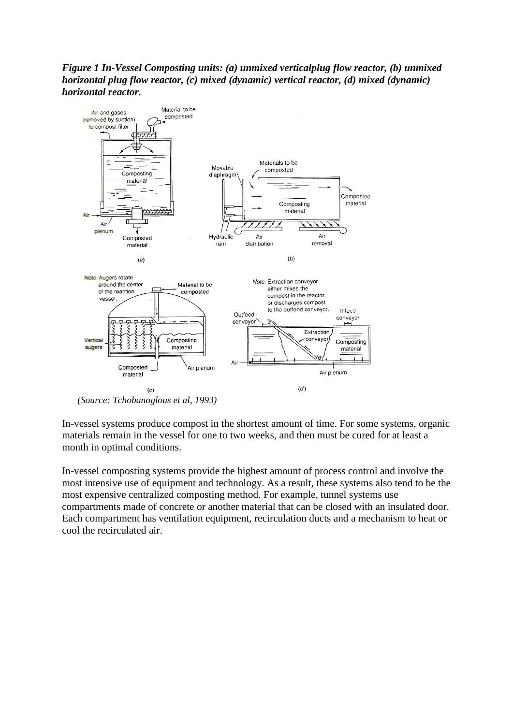### *Figure 1 In-Vessel Composting units: (a) unmixed verticalplug flow reactor, (b) unmixed horizontal plug flow reactor, (c) mixed (dynamic) vertical reactor, (d) mixed (dynamic) horizontal reactor.*



*(Source: Tchobanoglous et al, 1993)*

In-vessel systems produce compost in the shortest amount of time. For some systems, organic materials remain in the vessel for one to two weeks, and then must be cured for at least a month in optimal conditions.

In-vessel composting systems provide the highest amount of process control and involve the most intensive use of equipment and technology. As a result, these systems also tend to be the most expensive centralized composting method. For example, tunnel systems use compartments made of concrete or another material that can be closed with an insulated door. Each compartment has ventilation equipment, recirculation ducts and a mechanism to heat or cool the recirculated air.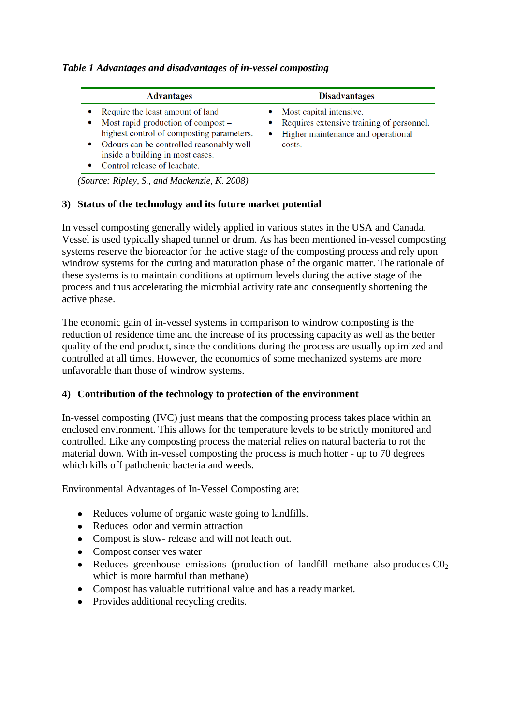#### *Table 1 Advantages and disadvantages of in-vessel composting*

| <b>Advantages</b>                                                                                                                                                                                                                                  | <b>Disadvantages</b>                                                                                                 |  |  |
|----------------------------------------------------------------------------------------------------------------------------------------------------------------------------------------------------------------------------------------------------|----------------------------------------------------------------------------------------------------------------------|--|--|
| Require the least amount of land<br>٠<br>Most rapid production of compost –<br>٠<br>highest control of composting parameters.<br>Odours can be controlled reasonably well<br>۰<br>inside a building in most cases.<br>Control release of leachate. | Most capital intensive.<br>Requires extensive training of personnel.<br>Higher maintenance and operational<br>costs. |  |  |

*(Source: Ripley, S., and Mackenzie, K. 2008)*

#### **3) Status of the technology and its future market potential**

In vessel composting generally widely applied in various states in the USA and Canada. Vessel is used typically shaped tunnel or drum. As has been mentioned in-vessel composting systems reserve the bioreactor for the active stage of the composting process and rely upon windrow systems for the curing and maturation phase of the organic matter. The rationale of these systems is to maintain conditions at optimum levels during the active stage of the process and thus accelerating the microbial activity rate and consequently shortening the active phase.

The economic gain of in-vessel systems in comparison to windrow composting is the reduction of residence time and the increase of its processing capacity as well as the better quality of the end product, since the conditions during the process are usually optimized and controlled at all times. However, the economics of some mechanized systems are more unfavorable than those of windrow systems.

#### **4) Contribution of the technology to protection of the environment**

In-vessel composting (IVC) just means that the composting process takes place within an enclosed environment. This allows for the temperature levels to be strictly monitored and controlled. Like any composting process the material relies on natural bacteria to rot the material down. With in-vessel composting the process is much hotter - up to 70 degrees which kills off pathohenic bacteria and weeds.

Environmental Advantages of In-Vessel Composting are;

- Reduces volume of organic waste going to landfills.
- Reduces odor and vermin attraction
- Compost is slow- release and will not leach out.
- Compost conser ves water
- Reduces greenhouse emissions (production of landfill methane also produces  $CO<sub>2</sub>$ which is more harmful than methane)
- Compost has valuable nutritional value and has a ready market.
- Provides additional recycling credits.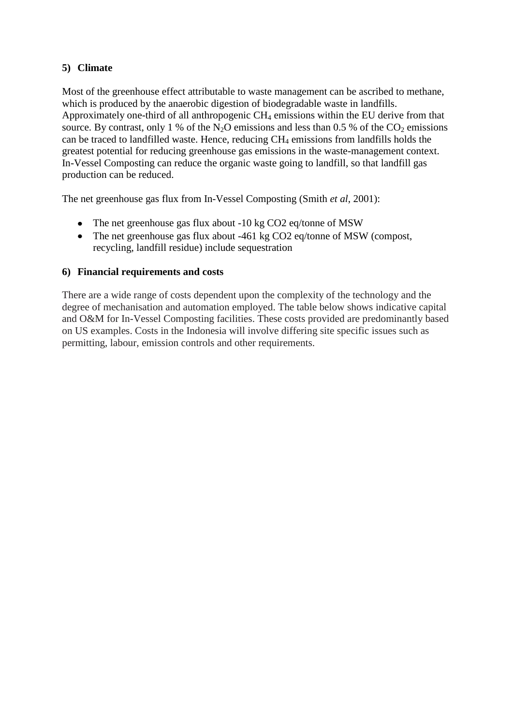# **5) Climate**

Most of the greenhouse effect attributable to waste management can be ascribed to methane, which is produced by the anaerobic digestion of biodegradable waste in landfills. Approximately one-third of all anthropogenic  $CH_4$  emissions within the EU derive from that source. By contrast, only 1 % of the N<sub>2</sub>O emissions and less than 0.5 % of the  $CO<sub>2</sub>$  emissions can be traced to landfilled waste. Hence, reducing  $CH_4$  emissions from landfills holds the greatest potential for reducing greenhouse gas emissions in the waste-management context. In-Vessel Composting can reduce the organic waste going to landfill, so that landfill gas production can be reduced.

The net greenhouse gas flux from In-Vessel Composting (Smith *et al*, 2001):

- The net greenhouse gas flux about -10 kg CO2 eq/tonne of MSW
- The net greenhouse gas flux about -461 kg CO2 eq/tonne of MSW (compost, recycling, landfill residue) include sequestration

#### **6) Financial requirements and costs**

There are a wide range of costs dependent upon the complexity of the technology and the degree of mechanisation and automation employed. The table below shows indicative capital and O&M for In-Vessel Composting facilities. These costs provided are predominantly based on US examples. Costs in the Indonesia will involve differing site specific issues such as permitting, labour, emission controls and other requirements.